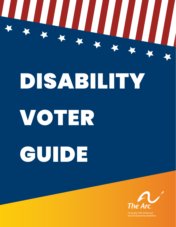

# DISABILITY

# VOTER GUIDE



and developmental disabilities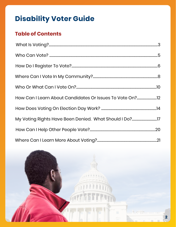# **Disability Voter Guide**

# **Table of Contents**

| How Can I Learn About Candidates Or Issues To Vote On?12 |  |
|----------------------------------------------------------|--|
|                                                          |  |
|                                                          |  |
|                                                          |  |
|                                                          |  |

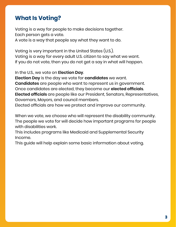# **What Is Voting?**

Voting is a way for people to make decisions together. Each person gets a vote.

A vote is a way that people say what they want to do.

Voting is very important in the United States (U.S.). Voting is a way for every adult U.S. citizen to say what we want. If you do not vote, then you do not get a say in what will happen.

In the U.S., we vote on **Election Day**.

**Election Day** is the day we vote for **candidates** we want. **Candidates** are people who want to represent us in government. Once candidates are elected, they become our **elected officials**. **Elected officials** are people like our President, Senators, Representatives, Governors, Mayors, and council members.

Elected officials are how we protect and improve our community.

When we vote, we choose who will represent the disability community. The people we vote for will decide how important programs for people with disabilities work.

This includes programs like Medicaid and Supplemental Security Income.

This guide will help explain some basic information about voting.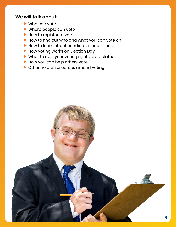# <span id="page-3-0"></span>**We will talk about:**

- $\blacktriangleright$  Who can vote
- $\blacktriangleright$  Where people can vote
- $\blacktriangleright$  How to register to vote
- How to find out who and what you can vote on
- $\blacktriangleright$  How to learn about candidates and issues
- $\blacktriangleright$  How voting works on Election Day
- $\blacktriangleright$  What to do if your voting rights are violated
- $\blacktriangleright$  How you can help others vote
- $\blacktriangleright$  Other helpful resources around voting

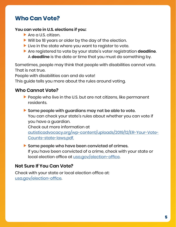# **Who Can Vote?**

#### **You can vote in U.S. elections if you:**

- $\blacktriangleright$  Are a U.S. citizen.
- $\blacktriangleright$  Will be 18 years or older by the day of the election.
- $\blacktriangleright$  Live in the state where you want to register to vote.
- **F** Are registered to vote by your state's voter registration **deadline**. A **deadline** is the date or time that you must do something by.

Sometimes, people may think that people with disabilities cannot vote. That is not true.

People with disabilities can and do vote!

This guide tells you more about the rules around voting.

#### **Who Cannot Vote?**

- $\blacktriangleright$  People who live in the U.S. but are not citizens, like permanent residents.
- $\blacktriangleright$  Some people with guardians may not be able to vote. You can check your state's rules about whether you can vote if you have a guardian.

Check out more information at

[autisticadvocacy.org/wp-content/uploads/2019/12/ER-Your-Vote-](http://autisticadvocacy.org/wp-content/uploads/2019/12/ER-Your-Vote-Counts-state-laws.pdf. )[Counts-state-laws.pdf.](http://autisticadvocacy.org/wp-content/uploads/2019/12/ER-Your-Vote-Counts-state-laws.pdf. )

 $\blacktriangleright$  Some people who have been convicted of crimes. If you have been convicted of a crime, check with your state or local election office at [usa.gov/election-office](http://usa.gov/election-office).

# **Not Sure If You Can Vote?**

Check with your state or local election office at: [usa.gov/election-office](http://usa.gov/election-office).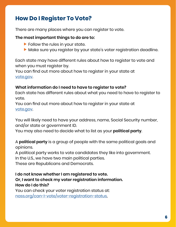# **How Do I Register To Vote?**

There are many places where you can register to vote.

#### **The most important things to do are to:**

- $\blacktriangleright$  Follow the rules in your state.
- Make sure you register by your state's voter registration deadline.

Each state may have different rules about how to register to vote and when you must register by.

You can find out more about how to register in your state at [vote.gov](http://vote.gov).

#### **What information do I need to have to register to vote?**

Each state has different rules about what you need to have to register to vote.

You can find out more about how to register in your state at [vote.gov](http://vote.gov).

You will likely need to have your address, name, Social Security number, and/or state or government ID.

You may also need to decide what to list as your **political party**.

A **political party** is a group of people with the same political goals and opinions.

A political party works to vote candidates they like into government. In the U.S., we have two main political parties.

These are Republicans and Democrats.

**I do not know whether I am registered to vote. Or, I want to check my voter registration information. How do I do this?** You can check your voter registration status at:

[nass.org/can-I-vote/voter-registration-status](http://nass.org/can-I-vote/voter-registration-status).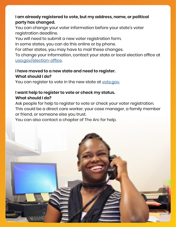# <span id="page-6-0"></span>**I am already registered to vote, but my address, name, or political party has changed.**

You can change your voter information before your state's voter registration deadline.

You will need to submit a new voter registration form.

In some states, you can do this online or by phone.

For other states, you may have to mail these changes.

To change your information, contact your state or local election office at [usa.gov/election-office](http://usa.gov/election-office).

#### **I have moved to a new state and need to register. What should I do?**

You can register to vote in the new state at [vote.gov.](http://vote.gov)

#### **I want help to register to vote or check my status. What should I do?**

Ask people for help to register to vote or check your voter registration. This could be a direct care worker, your case manager, a family member or friend, or someone else you trust.

You can also contact a chapter of The Arc for help.

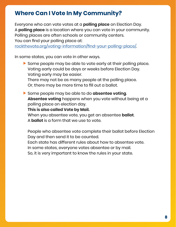# **Where Can I Vote In My Community?**

Everyone who can vote votes at a **polling place** on Election Day. A **polling place** is a location where you can vote in your community. Polling places are often schools or community centers. You can find your polling place at:

[rockthevote.org/voting-information/find-your-polling-place/](http://rockthevote.org/voting-information/find-your-polling-place/).

In some states, you can vote in other ways.

 $\blacktriangleright$  Some people may be able to vote early at their polling place. Voting early could be days or weeks before Election Day. Voting early may be easier.

There may not be as many people at the polling place. Or, there may be more time to fill out a ballot.

**F** Some people may be able to do **absentee voting**. **Absentee voting** happens when you vote without being at a polling place on election day.

**This is also called Vote by Mail.** 

When you absentee vote, you get an absentee **ballot**.

A **ballot** is a form that we use to vote.

People who absentee vote complete their ballot before Election Day and then send it to be counted.

Each state has different rules about how to absentee vote.

In some states, everyone votes absentee or by mail.

So, it is very important to know the rules in your state.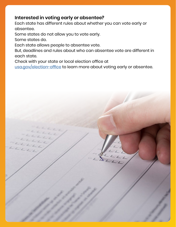# <span id="page-8-0"></span>**Interested in voting early or absentee?**

Each state has different rules about whether you can vote early or absentee.

Some states do not allow you to vote early.

Some states do.

Each state allows people to absentee vote.

But, deadlines and rules about who can absentee vote are different in each state.

Check with your state or local election office at

[usa.gov/election-office](http://usa.gov/election-office) to learn more about voting early or absentee.

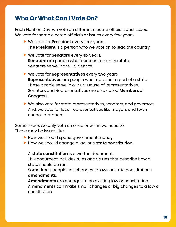# <span id="page-9-0"></span>**Who Or What Can I Vote On?**

Each Election Day, we vote on different elected officials and issues. We vote for some elected officials or issues every few years.

- **Note Youte for President** every four years. The **President** is a person who we vote on to lead the country.
- **Note Yote for Senators** every six years. **Senators** are people who represent an entire state. Senators serve in the U.S. Senate.
- **Ne vote for Representatives** every two years. **Representatives** are people who represent a part of a state. These people serve in our U.S. House of Representatives. Senators and Representatives are also called **Members of Congress**.
- $\blacktriangleright$  We also vote for state representatives, senators, and governors. And, we vote for local representatives like mayors and town council members.

Some issues we only vote on once or when we need to. These may be issues like:

- $\blacktriangleright$  How we should spend government money.
- **F** How we should change a law or a **state constitution**.

A **state constitution** is a written document.

This document includes rules and values that describe how a state should be run.

Sometimes, people call changes to laws or state constitutions **amendments**.

**Amendments** are changes to an existing law or constitution. Amendments can make small changes or big changes to a law or constitution.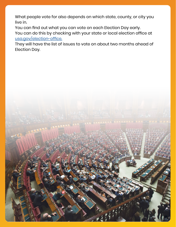What people vote for also depends on which state, county, or city you live in.

You can find out what you can vote on each Election Day early. You can do this by checking with your state or local election office at [usa.gov/election-office.](http://usa.gov/election-office.)

They will have the list of issues to vote on about two months ahead of Election Day.

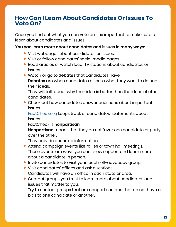# <span id="page-11-0"></span>**How Can I Learn About Candidates Or Issues To Vote On?**

Once you find out what you can vote on, it is important to make sure to learn about candidates and issues.

#### **You can learn more about candidates and issues in many ways:**

- $\blacktriangleright$  Visit webpages about candidates or issues.
- $\blacktriangleright$  Visit or follow candidates' social media pages.
- $\blacktriangleright$  Read articles or watch local TV stations about candidates or issues.
- **F** Watch or go to **debates** that candidates have.

**Debates** are when candidates discuss what they want to do and their ideas.

They will talk about why their idea is better than the ideas of other candidates.

 $\blacktriangleright$  Check out how candidates answer questions about important issues.

[FactCheck.org](http://FactCheck.org) keeps track of candidates' statements about issues.

FactCheck is **nonpartisan**.

**Nonpartisan** means that they do not favor one candidate or party over the other.

They provide accurate information.

- $\blacktriangleright$  Attend campaign events like rallies or town hall meetings. These events are ways you can show support and learn more about a candidate in person.
- $\blacktriangleright$  Invite candidates to visit your local self-advocacy group.
- $\blacktriangleright$  Visit candidates' offices and ask questions. Candidates will have an office in each state or area.
- $\blacktriangleright$  Contact groups you trust to learn more about candidates and issues that matter to you.

Try to contact groups that are nonpartisan and that do not have a bias to one candidate or another.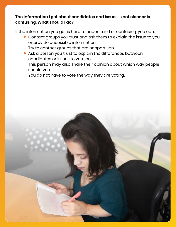# **The information I get about candidates and issues is not clear or is confusing. What should I do?**

If the information you get is hard to understand or confusing, you can:

- $\blacktriangleright$  Contact groups you trust and ask them to explain the issue to you or provide accessible information.
	- Try to contact groups that are nonpartisan.
- $\blacktriangleright$  Ask a person you trust to explain the differences between candidates or issues to vote on.

This person may also share their opinion about which way people should vote.

You do not have to vote the way they are voting.

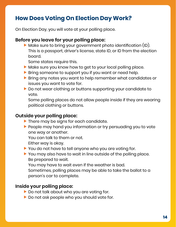# <span id="page-13-0"></span>**How Does Voting On Election Day Work?**

On Election Day, you will vote at your polling place.

# **Before you leave for your polling place:**

 $\blacktriangleright$  Make sure to bring your government photo identification (ID). This is a passport, driver's license, state ID, or ID from the election board.

Some states require this.

- $\blacktriangleright$  Make sure you know how to get to your local polling place.
- $\blacktriangleright$  Bring someone to support you if you want or need help.
- $\blacktriangleright$  Bring any notes you want to help remember what candidates or issues you want to vote for.
- $\blacktriangleright$  Do not wear clothing or buttons supporting your candidate to vote.

Some polling places do not allow people inside if they are wearing political clothing or buttons.

# **Outside your polling place:**

- $\blacktriangleright$  There may be signs for each candidate.
- $\blacktriangleright$  People may hand you information or try persuading you to vote one way or another.

You can talk to them or not.

- Either way is okay.
- $\blacktriangleright$  You do not have to tell anyone who you are voting for.
- $\blacktriangleright$  You may also have to wait in line outside of the polling place. Be prepared to wait.

You may have to wait even if the weather is bad.

Sometimes, polling places may be able to take the ballot to a person's car to complete.

# **Inside your polling place:**

- $\blacktriangleright$  Do not talk about who you are voting for.
- $\blacktriangleright$  Do not ask people who you should vote for.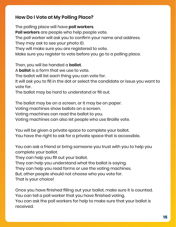# **How Do I Vote at My Polling Place?**

The polling place will have **poll workers**. **Poll workers** are people who help people vote. The poll worker will ask you to confirm your name and address. They may ask to see your photo ID. They will make sure you are registered to vote. Make sure you register to vote before you go to a polling place.

Then, you will be handed a **ballot**.

A **ballot** is a form that we use to vote.

The ballot will list each thing you can vote for.

It will ask you to fill in the dot or select the candidate or issue you want to vote for.

The ballot may be hard to understand or fill out.

The ballot may be on a screen, or it may be on paper.

Voting machines show ballots on a screen.

Voting machines can read the ballot to you.

Voting machines can also let people who use Braille vote.

You will be given a private space to complete your ballot. You have the right to ask for a private space that is accessible.

You can ask a friend or bring someone you trust with you to help you complete your ballot.

They can help you fill out your ballot.

They can help you understand what the ballot is saying.

They can help you read forms or use the voting machines.

But, other people should not choose who you vote for.

That is your choice!

Once you have finished filling out your ballot, make sure it is counted. You can tell a poll worker that you have finished voting.

You can ask the poll workers for help to make sure that your ballot is received.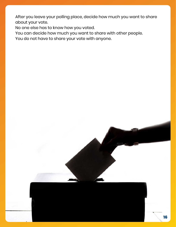<span id="page-15-0"></span>After you leave your polling place, decide how much you want to share about your vote.

No one else has to know how you voted.

You can decide how much you want to share with other people.

You do not have to share your vote with anyone.

**16**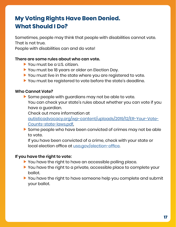# **My Voting Rights Have Been Denied. What Should I Do?**

Sometimes, people may think that people with disabilities cannot vote. That is not true.

People with disabilities can and do vote!

#### **There are some rules about who can vote.**

- $\blacktriangleright$  You must be a U.S. citizen.
- You must be 18 years or older on Election Day.
- $\blacktriangleright$  You must live in the state where you are registered to vote.
- $\blacktriangleright$  You must be registered to vote before the state's deadline.

#### **Who Cannot Vote?**

 $\blacktriangleright$  Some people with guardians may not be able to vote. You can check your state's rules about whether you can vote if you have a guardian.

Check out more information at

[autisticadvocacy.org/wp-content/uploads/2019/12/ER-Your-Vote-](http://autisticadvocacy.org/wp-content/uploads/2019/12/ER-Your-Vote-Counts-state-laws.pdf)[Counts-state-laws.pdf.](http://autisticadvocacy.org/wp-content/uploads/2019/12/ER-Your-Vote-Counts-state-laws.pdf)

 $\blacktriangleright$  Some people who have been convicted of crimes may not be able to vote.

If you have been convicted of a crime, check with your state or local election office at <u>[usa.gov/election-office](http://usa.gov/election-office)</u>.

#### **If you have the right to vote:**

- $\blacktriangleright$  You have the right to have an accessible polling place.
- $\blacktriangleright$  You have the right to a private, accessible place to complete your ballot.
- $\blacktriangleright$  You have the right to have someone help you complete and submit your ballot.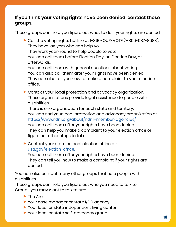# **If you think your voting rights have been denied, contact these groups.**

These groups can help you figure out what to do if your rights are denied.

 $\triangleright$  Call the voting rights hotline at 1-866-OUR-VOTE (1-866-687-8683). They have lawyers who can help you. They work year-round to help people to vote. You can call them before Election Day, on Election Day, or afterwards. You can call them with general questions about voting. You can also call them after your rights have been denied. They can also tell you how to make a complaint to your election office.  $\blacktriangleright$  Contact your local protection and advocacy organization. These organizations provide legal assistance to people with disabilities. There is one organization for each state and territory. You can find your local protection and advocacy organization at <https://www.ndrn.org/about/ndrn-member-agencies/>. You can call them after your rights have been denied. They can help you make a complaint to your election office or figure out other steps to take.  $\triangleright$  Contact your state or local election office at:

usa.gov/election-office.

You can call them after your rights have been denied. They can tell you how to make a complaint if your rights are denied.

You can also contact many other groups that help people with disabilities.

These groups can help you figure out who you need to talk to. Groups you may want to talk to are:

- $\blacktriangleright$  The Arc
- ▶ Your case manager or state I/DD agency
- $\blacktriangleright$  Your local or state independent living center
- Your local or state self-advocacy group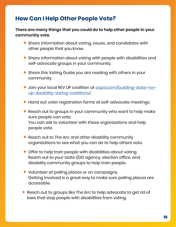# **How Can I Help Other People Vote?**

#### **There are many things that you could do to help other people in your community vote.**

- $\blacktriangleright$  Share information about voting, issues, and candidates with other people that you know.
- $\blacktriangleright$  Share information about voting with people with disabilities and self-advocate groups in your community.
- $\blacktriangleright$  Share this Voting Guide you are reading with others in your community.
- **Join your local REV UP coalition at [aapd.com/building-state-rev](http://aapd.com/building-state-rev-up-disability-voting-coalitions/)**[up-disability-voting-coalitions/.](http://aapd.com/building-state-rev-up-disability-voting-coalitions/)
- $\blacktriangleright$  Hand out voter registration forms at self-advocate meetings.
- $\blacktriangleright$  Reach out to groups in your community who want to help make sure people can vote. You can ask to volunteer with these organizations and help people vote.
- $\blacktriangleright$  Reach out to The Arc and other disability community organizations to see what you can do to help others vote.
- $\triangleright$  Offer to help train people with disabilities about voting. Reach out to your state I/DD agency, election office, and disability community groups to help train people.
- $\blacktriangleright$  Volunteer at polling places or on campaigns. Getting involved is a great way to make sure polling places are accessible.
- $\blacktriangleright$  Reach out to groups like The Arc to help advocate to get rid of laws that stop people with disabilities from voting.